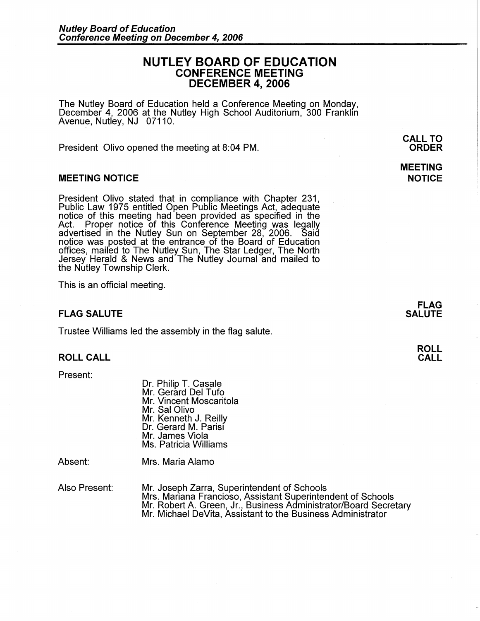# **NUTLEY BOARD OF EDUCATION CONFERENCE MEETING DECEMBER 4, 2006**

The Nutley Board of Education held a Conference Meeting on Monday, December 4, 2006 at the Nutley High School Auditorium, 300 Franklin Avenue, Nutley, NJ 07110.

President Olivo opened the meeting at 8:04 PM.

## **MEETING NOTICE**

President Olivo stated that in compliance with Chapter 231, Public Law 1975 entitled Open Public Meetings Act, adequate notice of this meeting had been provided as specified in the Act. Proper notice of this Conference Meeting was legally advertised in the Nutley Sun on September 28, 2006. Said notice was posted at the entrance of the Board of Education offices, mailed to The Nutley Sun, The Star Ledger, The North Jersey Herald & News and The Nutley Journal and mailed to the Nutley Township Clerk.

This is an official meeting.

# **FLAG SALUTE**

Trustee Williams led the assembly in the flag salute.

### **ROLL CALL**

Present:

Dr. Philip T. Casale Mr. Gerard Del Tufo Mr. Vincent Moscaritola Mr. Sal Olivo Mr. Kenneth J. Reilly Dr. Gerard M. Parisi Mr. James Viola Ms. Patricia Williams

Absent:

Mrs. Maria Alamo

Also Present:

Mr. Joseph Zarra, Superintendent of Schools Mrs. Mariana Franciosa, Assistant Superintendent of Schools Mr. Robert A. Green, Jr., Business Administrator/Board Secretary Mr. Michael DeVita, Assistant to the Business Administrator

**FLAG SALUTE** 

> **ROLL CALL**

**CALL TO ORDER** 

**MEETING NOTICE**